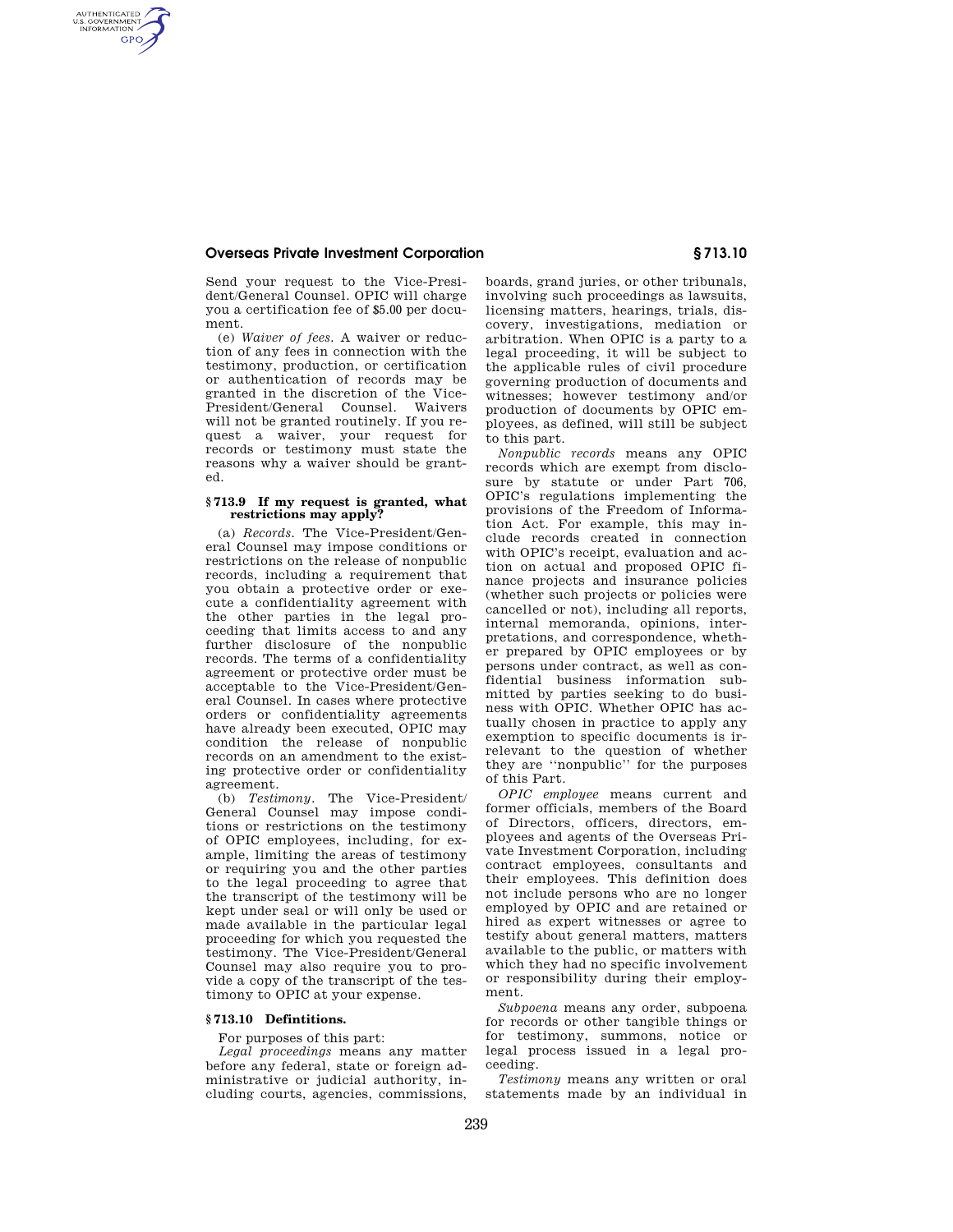#### **Overseas Private Investment Corporation § 713.10**

AUTHENTICATED<br>U.S. GOVERNMENT<br>INFORMATION **GPO** 

> Send your request to the Vice-President/General Counsel. OPIC will charge you a certification fee of \$5.00 per document.

(e) *Waiver of fees.* A waiver or reduction of any fees in connection with the testimony, production, or certification or authentication of records may be granted in the discretion of the Vice-President/General Counsel. Waivers will not be granted routinely. If you request a waiver, your request for records or testimony must state the reasons why a waiver should be granted.

## **§ 713.9 If my request is granted, what restrictions may apply?**

(a) *Records.* The Vice-President/General Counsel may impose conditions or restrictions on the release of nonpublic records, including a requirement that you obtain a protective order or execute a confidentiality agreement with the other parties in the legal proceeding that limits access to and any further disclosure of the nonpublic records. The terms of a confidentiality agreement or protective order must be acceptable to the Vice-President/General Counsel. In cases where protective orders or confidentiality agreements have already been executed, OPIC may condition the release of nonpublic records on an amendment to the existing protective order or confidentiality agreement.

(b) *Testimony.* The Vice-President/ General Counsel may impose conditions or restrictions on the testimony of OPIC employees, including, for example, limiting the areas of testimony or requiring you and the other parties to the legal proceeding to agree that the transcript of the testimony will be kept under seal or will only be used or made available in the particular legal proceeding for which you requested the testimony. The Vice-President/General Counsel may also require you to provide a copy of the transcript of the testimony to OPIC at your expense.

## **§ 713.10 Defintitions.**

For purposes of this part:

*Legal proceedings* means any matter before any federal, state or foreign administrative or judicial authority, including courts, agencies, commissions, boards, grand juries, or other tribunals, involving such proceedings as lawsuits, licensing matters, hearings, trials, discovery, investigations, mediation or arbitration. When OPIC is a party to a legal proceeding, it will be subject to the applicable rules of civil procedure governing production of documents and witnesses; however testimony and/or production of documents by OPIC employees, as defined, will still be subject to this part.

*Nonpublic records* means any OPIC records which are exempt from disclosure by statute or under Part 706, OPIC's regulations implementing the provisions of the Freedom of Information Act. For example, this may include records created in connection with OPIC's receipt, evaluation and action on actual and proposed OPIC finance projects and insurance policies (whether such projects or policies were cancelled or not), including all reports, internal memoranda, opinions, interpretations, and correspondence, whether prepared by OPIC employees or by persons under contract, as well as confidential business information submitted by parties seeking to do business with OPIC. Whether OPIC has actually chosen in practice to apply any exemption to specific documents is irrelevant to the question of whether they are ''nonpublic'' for the purposes of this Part.

*OPIC employee* means current and former officials, members of the Board of Directors, officers, directors, employees and agents of the Overseas Private Investment Corporation, including contract employees, consultants and their employees. This definition does not include persons who are no longer employed by OPIC and are retained or hired as expert witnesses or agree to testify about general matters, matters available to the public, or matters with which they had no specific involvement or responsibility during their employment.

*Subpoena* means any order, subpoena for records or other tangible things or for testimony, summons, notice or legal process issued in a legal proceeding.

*Testimony* means any written or oral statements made by an individual in